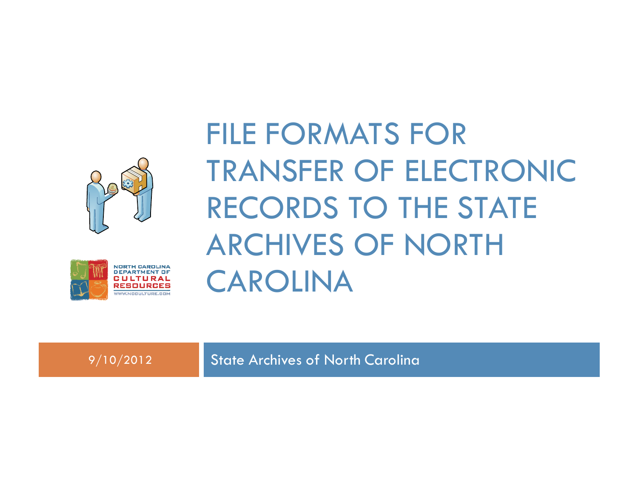



## FILE FORMATS FOR TRANSFER OF ELECTRONIC RECORDS TO THE STATE ARCHIVES OF NORTH CAROLINA

9/10/2012 State Archives of North Carolina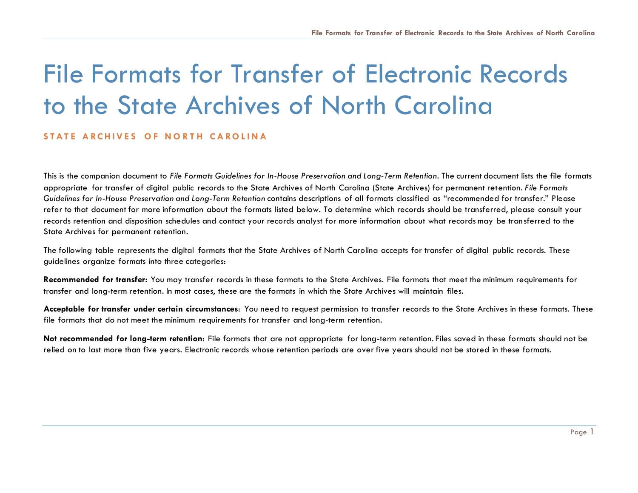## File Formats for Transfer of Electronic Records to the State Archives of North Carolina

## STATE ARCHIVES OF NORTH CAROLINA

This is the companion document to *File Formats Guidelines for In-House Preservation and Long-Term Retention*. The current document lists the file formats appropriate for transfer of digital public records to the State Archives of North Carolina (State Archives) for permanent retention. *File Formats Guidelines for In-House Preservation and Long-Term Retention* contains descriptions of all formats classified as "recommended for transfer." Please refer to that document for more information about the formats listed below. To determine which records should be transferred, please consult your records retention and disposition schedules and contact your records analyst for more information about what records may be tran sferred to the State Archives for permanent retention.

The following table represents the digital formats that the State Archives of North Carolina accepts for transfer of digital public records. These guidelines organize formats into three categories:

**Recommended for transfer:** You may transfer records in these formats to the State Archives. File formats that meet the minimum requirements for transfer and long-term retention. In most cases, these are the formats in which the State Archives will maintain files.

**Acceptable for transfer under certain circumstances**: You need to request permission to transfer records to the State Archives in these formats. These file formats that do not meet the minimum requirements for transfer and long-term retention.

**Not recommended for long-term retention**: File formats that are not appropriate for long-term retention. Files saved in these formats should not be relied on to last more than five years. Electronic records whose retention periods are over five years should not be stored in these formats.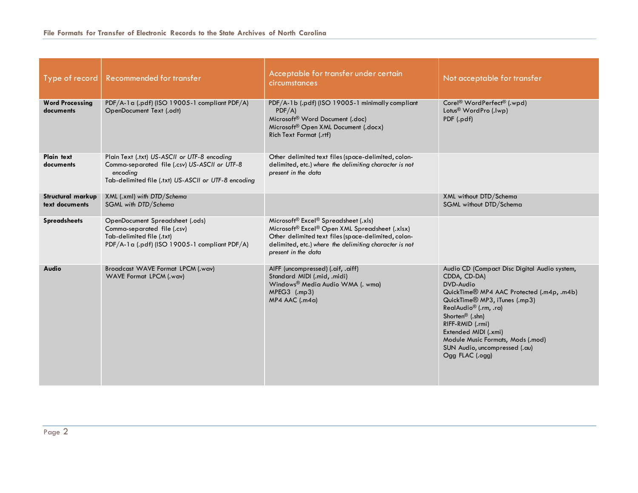| Type of record                      | Recommended for transfer                                                                                                                                          | Acceptable for transfer under certain<br><b>circumstances</b>                                                                                                                                                                                          | Not acceptable for transfer                                                                                                                                                                                                                                                                                                                                                  |
|-------------------------------------|-------------------------------------------------------------------------------------------------------------------------------------------------------------------|--------------------------------------------------------------------------------------------------------------------------------------------------------------------------------------------------------------------------------------------------------|------------------------------------------------------------------------------------------------------------------------------------------------------------------------------------------------------------------------------------------------------------------------------------------------------------------------------------------------------------------------------|
| <b>Word Processing</b><br>documents | PDF/A-1a (.pdf) (ISO 19005-1 compliant PDF/A)<br>OpenDocument Text (.odt)                                                                                         | PDF/A-1b (.pdf) (ISO 19005-1 minimally compliant<br>PDF/A)<br>Microsoft <sup>®</sup> Word Document (.doc)<br>Microsoft® Open XML Document (.docx)<br>Rich Text Format (.rtf)                                                                           | Corel <sup>®</sup> WordPerfect <sup>®</sup> (.wpd)<br>Lotus <sup>®</sup> WordPro (.lwp)<br>PDF (.pdf)                                                                                                                                                                                                                                                                        |
| Plain text<br>documents             | Plain Text (.txt) US-ASCII or UTF-8 encoding<br>Comma-separated file (.csv) US-ASCII or UTF-8<br>encoding<br>Tab-delimited file (.txt) US-ASCII or UTF-8 encoding | Other delimited text files (space-delimited, colon-<br>delimited, etc.) where the delimiting character is not<br>present in the data                                                                                                                   |                                                                                                                                                                                                                                                                                                                                                                              |
| Structural markup<br>text documents | XML (.xml) with DTD/Schema<br>SGML with DTD/Schema                                                                                                                |                                                                                                                                                                                                                                                        | XML without DTD/Schema<br>SGML without DTD/Schema                                                                                                                                                                                                                                                                                                                            |
| <b>Spreadsheets</b>                 | OpenDocument Spreadsheet (.ods)<br>Comma-separated file (.csv)<br>Tab-delimited file (.txt)<br>PDF/A-1a (.pdf) (ISO 19005-1 compliant PDF/A)                      | Microsoft <sup>®</sup> Excel <sup>®</sup> Spreadsheet (.xls)<br>Microsoft® Excel® Open XML Spreadsheet (.xlsx)<br>Other delimited text files (space-delimited, colon-<br>delimited, etc.) where the delimiting character is not<br>present in the data |                                                                                                                                                                                                                                                                                                                                                                              |
| Audio                               | Broadcast WAVE Format LPCM (.wav)<br>WAVE Format LPCM (.wav)                                                                                                      | AIFF (uncompressed) (.aif, .aiff)<br>Standard MIDI (.mid, .midi)<br>Windows® Media Audio WMA (. wma)<br>$MPEG3$ (.mp3)<br>$MP4$ AAC (.m4a)                                                                                                             | Audio CD (Compact Disc Digital Audio system,<br>CDDA, CD-DA)<br>DVD-Audio<br>QuickTime® MP4 AAC Protected (.m4p, .m4b)<br>QuickTime <sup>®</sup> MP3, iTunes (.mp3)<br>RealAudio <sup>®</sup> (.rm, .ra)<br>Shorten <sup>®</sup> (.shn)<br>RIFF-RMID (.rmi)<br>Extended MIDI (.xmi)<br>Module Music Formats, Mods (.mod)<br>SUN Audio, uncompressed (.au)<br>Ogg FLAC (.ogg) |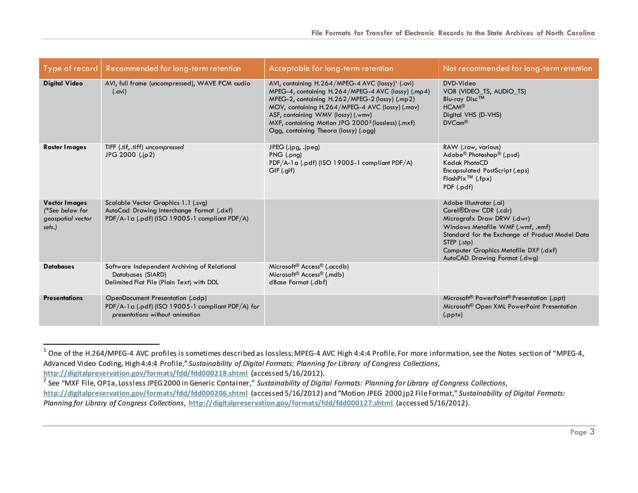| Type of record                                                         | Recommended for long-term retention                                                                                               | Acceptable for long-term retention                                                                                                                                                                                                                                                                                                                                       | Not recommended for long-term retention                                                                                                                                                                                                                                      |
|------------------------------------------------------------------------|-----------------------------------------------------------------------------------------------------------------------------------|--------------------------------------------------------------------------------------------------------------------------------------------------------------------------------------------------------------------------------------------------------------------------------------------------------------------------------------------------------------------------|------------------------------------------------------------------------------------------------------------------------------------------------------------------------------------------------------------------------------------------------------------------------------|
| <b>Digital Video</b>                                                   | AVI, full frame (uncompressed), WAVE PCM audio<br>$(.$ avi $)$                                                                    | AVI, containing H.264/MPEG-4 AVC (lossy) <sup>1</sup> (.avi)<br>MPEG-4, containing H.264/MPEG-4 AVC (lossy) (.mp4)<br>MPEG-2, containing H.262/MPEG-2 (lossy) (.mp2)<br>MOV, containing H.264/MPEG-4 AVC (lossy) (.mov)<br>ASF, containing WMV (lossy) (.wmv)<br>MXF, containing Motion JPG 2000 <sup>2</sup> (lossless) (.mxf)<br>Ogg, containing Theora (lossy) (.ogg) | DVD-Video<br>VOB (VIDEO_TS, AUDIO_TS)<br>Blu-ray Disc™<br><b>HCAM®</b><br>Digital VHS (D-VHS)<br>$DVCcm^{\circledR}$                                                                                                                                                         |
| <b>Raster Images</b>                                                   | TIFF (.tif, .tiff) uncompressed<br>JPG 2000 (.jp2)                                                                                | JPEG (.jpg, .jpeg)<br>PNG (.png)<br>PDF/A-1a (.pdf) (ISO 19005-1 compliant PDF/A)<br>GIF (.qif)                                                                                                                                                                                                                                                                          | RAW (.raw, various)<br>Adobe <sup>®</sup> Photoshop <sup>®</sup> (.psd)<br>Kodak PhotoCD<br><b>Encapsulated PostScript (.eps)</b><br>$FlashFix^{TM}$ (.fpx)<br>PDF (.pdf)                                                                                                    |
| <b>Vector Images</b><br>(*See below for<br>geospatial vector<br>sets.) | Scalable Vector Graphics 1.1 (.svg)<br>AutoCad Drawing Interchange Format (.dxf)<br>PDF/A-1a (.pdf) (ISO 19005-1 compliant PDF/A) |                                                                                                                                                                                                                                                                                                                                                                          | Adobe Illustrator (.ai)<br>Corel <sup>®</sup> Draw CDR (.cdr)<br>Micrografx Draw DRW (.dwr)<br>Windows Metafile WMF (.wmf, .emf)<br>Standard for the Exchange of Product Model Data<br>STEP (.stp)<br>Computer Graphics Metafile DXF (.dxf)<br>AutoCAD Drawing Format (.dwg) |
| <b>Databases</b>                                                       | Software Independent Archiving of Relational<br>Databases (SIARD)<br>Delimited Flat File (Plain Text) with DDL                    | Microsoft <sup>®</sup> Access <sup>®</sup> (.accdb)<br>Microsoft <sup>®</sup> Access <sup>®</sup> (.mdb)<br>dBase Format (.dbf)                                                                                                                                                                                                                                          |                                                                                                                                                                                                                                                                              |
| <b>Presentations</b>                                                   | OpenDocument Presentation (.odp)<br>PDF/A-1a (.pdf) (ISO 19005-1 compliant PDF/A) for<br>presentations without animation          |                                                                                                                                                                                                                                                                                                                                                                          | Microsoft <sup>®</sup> PowerPoint <sup>®</sup> Presentation (.ppt)<br>Microsoft® Open XML PowerPoint Presentation<br>(pptx)                                                                                                                                                  |

 $\overline{a}$ 

 $^1$  One of the H.264/MPEG-4 AVC profiles is sometimes described as lossless: MPEG-4 AVC High 4:4:4 Profile. For more information, see the Notes section of "MPEG-4, Advanced Video Coding, High 4:4:4 Profile," *Sustainability of Digital Formats: Planning for Library of Congress Collections*, **<http://digitalpreservation.gov/formats/fdd/fdd000218.shtml>** (accessed 5/16/2012).

<sup>2</sup> See "MXF File, OP1a, Lossless JPEG 2000 in Generic Container," *Sustainability of Digital Formats: Planning for Library of Congress Collections*,

**<http://digitalpreservation.gov/formats/fdd/fdd000206.shtml>** (accessed 5/16/2012) and "Motion JPEG 2000 jp2 File Format," *Sustainability of Digital Formats: Planning for Library of Congress Collections*, **<http://digitalpreservation.gov/formats/fdd/fdd000127.shtml>** (accessed 5/16/2012).